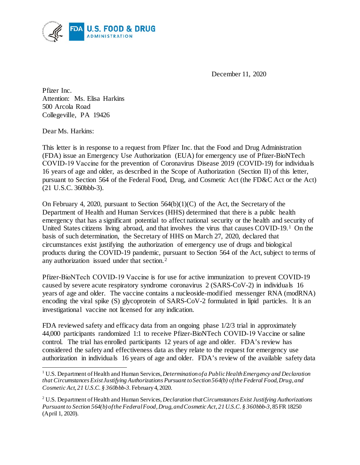

December 11, 2020

 Attention: Ms. Elisa Harkins Collegeville, PA 19426 Pfizer Inc. 500 Arcola Road

Dear Ms. Harkins:

 $\overline{a}$ 

 This letter is in response to a request from Pfizer Inc. that the Food and Drug Administration COVID‑19 Vaccine for the prevention of Coronavirus Disease 2019 (COVID-19) for individuals 16 years of age and older, as described in the Scope of Authorization (Section II) of this letter, pursuant to Section 564 of the Federal Food, Drug, and Cosmetic Act (the FD&C Act or the Act) (FDA) issue an Emergency Use Authorization (EUA) for emergency use of Pfizer-BioNTech (21 U.S.C. 360bbb-3).

 On February 4, 2020, pursuant to Section 564(b)(1)(C) of the Act, the Secretary of the Department of Health and Human Services (HHS) determined that there is a public health emergency that has a significant potential to affect national security or the health and security of United States citizens living abroad, and that involves the virus that causes COVID-19.[1](#page-0-0) On the basis of such determination, the Secretary of HHS on March 27, 2020, declared that circumstances exist justifying the authorization of emergency use of drugs and biological products during the COVID-19 pandemic, pursuant to Section 564 of the Act, subject to terms of any authorization issued under that section.[2](#page-0-1)

 caused by severe acute respiratory syndrome coronavirus 2 (SARS-CoV-2) in individuals 16 encoding the viral spike (S) glycoprotein of SARS-CoV-2 formulated in lipid particles. It is an Pfizer-BioNTech COVID‑19 Vaccine is for use for active immunization to prevent COVID-19 years of age and older. The vaccine contains a nucleoside-modified messenger RNA (modRNA) investigational vaccine not licensed for any indication.

 control. The trial has enrolled participants 12 years of age and older. FDA's review has considered the safety and effectiveness data as they relate to the request for emergency use authorization in individuals 16 years of age and older. FDA's review of the available safety data FDA reviewed safety and efficacy data from an ongoing phase  $1/2/3$  trial in approximately 44,000 participants randomized 1:1 to receive Pfizer-BioNTech COVID-19 Vaccine or saline

<span id="page-0-0"></span> *that Circumstances Exist Justifying Authorizations Pursuant to Section 564(b) of the Federal Food, Drug, and*  1 U.S. Department of Health and Human Services, *Determination of a Public Health Emergency and Declaration Cosmetic Act, 21 U.S.C. § 360bbb-3.* February 4, 2020.

<span id="page-0-1"></span><sup>2</sup> U.S. Department of Health and Human Services, *Declaration that Circumstances Exist Justifying Authorizations Pursuant to Section 564(b) of the Federal Food, Drug, and Cosmetic Act, 21 U.S.C. § 360bbb-3*, 85 FR 18250 (April 1, 2020).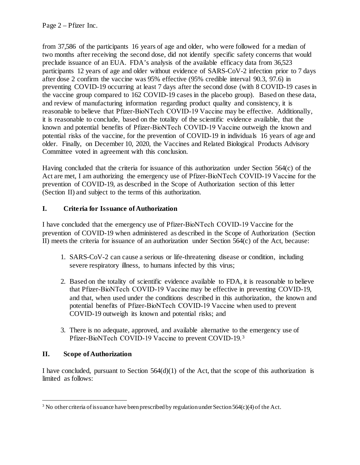two months after receiving the second dose, did not identify specific safety concerns that would preclude issuance of an EUA. FDA's analysis of the available efficacy data from 36,523 participants 12 years of age and older without evidence of SARS-CoV-2 infection prior to 7 days after dose 2 confirm the vaccine was 95% effective (95% credible interval 90.3, 97.6) in preventing COVID-19 occurring at least 7 days after the second dose (with 8 COVID-19 cases in the vaccine group compared to 162 COVID-19 cases in the placebo group). Based on these data, known and potential benefits of Pfizer-BioNTech COVID-19 Vaccine outweigh the known and potential risks of the vaccine, for the prevention of COVID-19 in individuals 16 years of age and older. Finally, on December 10, 2020, the Vaccines and Related Biological Products Advisory Committee voted in agreement with this conclusion. from 37,586 of the participants 16 years of age and older, who were followed for a median of and review of manufacturing information regarding product quality and consistency, it is reasonable to believe that Pfizer-BioNTech COVID-19 Vaccine may be effective. Additionally, it is reasonable to conclude, based on the totality of the scientific evidence available, that the

 Having concluded that the criteria for issuance of this authorization under Section 564(c) of the Act are met, I am authorizing the emergency use of Pfizer-BioNTech COVID-19 Vaccine for the prevention of COVID-19, as described in the Scope of Authorization section of this letter (Section II) and subject to the terms of this authorization.

# **I. Criteria for Issuance of Authorization**

 I have concluded that the emergency use of Pfizer-BioNTech COVID‑19 Vaccine for the II) meets the criteria for issuance of an authorization under Section 564(c) of the Act, because: prevention of COVID-19 when administered as described in the Scope of Authorization (Section

- 1. SARS-CoV-2 can cause a serious or life-threatening disease or condition, including severe respiratory illness, to humans infected by this virus;
- and that, when used under the conditions described in this authorization, the known and potential benefits of Pfizer-BioNTech COVID‑19 Vaccine when used to prevent COVID-19 outweigh its known and potential risks; and 2. Based on the totality of scientific evidence available to FDA, it is reasonable to believe that Pfizer-BioNTech COVID‑19 Vaccine may be effective in preventing COVID-19,
- 3. There is no adequate, approved, and available alternative to the emergency use of Pfizer-BioNTech COVID-19 Vaccine to prevent COVID-19.<sup>[3](#page-1-0)</sup>

#### **II. Scope of Authorization**

l

 I have concluded, pursuant to Section 564(d)(1) of the Act, that the scope of this authorization is limited as follows:

<span id="page-1-0"></span> $3$  No other criteria of issuance have been prescribed by regulation under Section 564(c)(4) of the Act.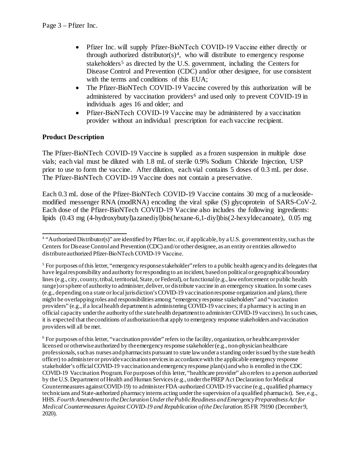- Pfizer Inc. will supply Pfizer-BioNTech COVID-19 Vaccine either directly or stakeholders<sup>[5](#page-2-1)</sup> as directed by the U.S. government, including the Centers for Disease Control and Prevention (CDC) and/or other designee, for use consistent with the terms and conditions of this EUA; through authorized distributor( $s$ )<sup>4</sup>, who will distribute to emergency response
- The Pfizer-BioNTech COVID-19 Vaccine covered by this authorization will be administered by vaccination providers<sup>6</sup> and used only to prevent COVID-19 in individuals ages 16 and older; and
- Pfizer-BioNTech COVID-19 Vaccine may be administered by a vaccination provider without an individual prescription for each vaccine recipient.

## **Product Description**

 vials; each vial must be diluted with 1.8 mL of sterile 0.9% Sodium Chloride Injection, USP prior to use to form the vaccine. After dilution, each vial contains 5 doses of 0.3 mL per dose. The Pfizer-BioNTech COVID-19 Vaccine is supplied as a frozen suspension in multiple dose The Pfizer-BioNTech COVID-19 Vaccine does not contain a preservative.

 Each 0.3 mL dose of the Pfizer-BioNTech COVID-19 Vaccine contains 30 mcg of a nucleoside- modified messenger RNA (modRNA) encoding the viral spike (S) glycoprotein of SARS-CoV-2. Each dose of the Pfizer-BioNTech COVID-19 Vaccine also includes the following ingredients: lipids (0.43 mg (4-hydroxybutyl)azanediyl)bis(hexane-6,1-diyl)bis(2-hexyldecanoate), 0.05 mg

<span id="page-2-0"></span> $\overline{a}$ <sup>4</sup> "Authorized Distributor(s)" are identified by Pfizer Inc. or, if applicable, by a U.S. government entity, such as the Centers for Disease Control and Prevention (CDC) and/or other designee, as an entity or entities allowed to distribute authorized Pfizer-BioNTech COVID‑19 Vaccine.

<span id="page-2-1"></span> providers" (e.g., if a local health department is administering COVID-19 vaccines; if a pharmacy is acting in an it is expected that the conditions of authorization that apply to emergency response stakeholders and vaccination  $<sup>5</sup>$  For purposes of this letter, "emergency response stakeholder" refers to a public health agency and its delegates that</sup> have legal responsibility and authority for responding to an incident, based on political or geographical boundary lines (e.g., city, county, tribal, territorial, State, or Federal), or functional (e.g., law enforcement or public health range) or sphere of authority to administer, deliver, or distribute vaccine in an emergency situation. In some cases (e.g., depending on a state or local jurisdiction's COVID-19 vaccination response organization and plans), there might be overlapping roles and responsibilities among "emergency response stakeholders" and "vaccination official capacity under the authority of the state health department to administer COVID-19 vaccines). In such cases, providers will all be met.

<span id="page-2-2"></span> technicians and State-authorized pharmacy interns acting under the supervision of a qualified pharmacist). See, e.g., *Medical Countermeasures Against COVID-19 and Republication of the Declaration*. 85 FR 79190 (December 9,  $6$  For purposes of this letter, "vaccination provider" refers to the facility, organization, or healthcare provider licensed or otherwise authorized by the emergency response stakeholder (e.g., non-physician healthcare professionals, such as nurses and pharmacists pursuant to state law under a standing order issued by the state health officer) to administer or provide vaccination services in accordance with the applicable emergency response stakeholder's official COVID-19 vaccination and emergency response plan(s) and who is enrolled in the CDC COVID-19 Vaccination Program. For purposes of this letter, "healthcare provider" also refers to a person authorized by the U.S. Department of Health and Human Services (e.g., under the PREP Act Declaration for Medical Countermeasures against COVID-19) to administer FDA-authorized COVID-19 vaccine (e.g., qualified pharmacy HHS. *Fourth Amendment to the Declaration Under the Public Readiness and Emergency Preparedness Act for*  2020).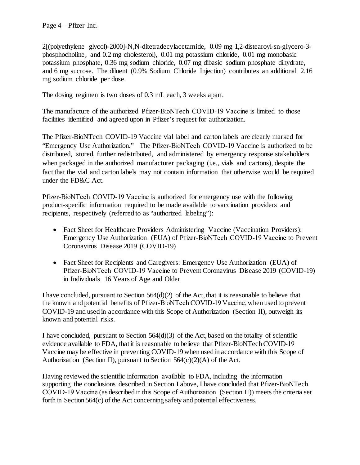phosphocholine, and 0.2 mg cholesterol), 0.01 mg potassium chloride, 0.01 mg monobasic potassium phosphate, 0.36 mg sodium chloride, 0.07 mg dibasic sodium phosphate dihydrate, and 6 mg sucrose. The diluent (0.9% Sodium Chloride Injection) contributes an additional 2.16 mg sodium chloride per dose. 2[(polyethylene glycol)-2000]-N,N-ditetradecylacetamide, 0.09 mg 1,2-distearoyl-sn-glycero-3-

The dosing regimen is two doses of 0.3 mL each, 3 weeks apart.

The manufacture of the authorized Pfizer-BioNTech COVID-19 Vaccine is limited to those facilities identified and agreed upon in Pfizer's request for authorization.

 The Pfizer-BioNTech COVID-19 Vaccine vial label and carton labels are clearly marked for when packaged in the authorized manufacturer packaging (i.e., vials and cartons), despite the "Emergency Use Authorization." The Pfizer-BioNTech COVID‑19 Vaccine is authorized to be distributed, stored, further redistributed, and administered by emergency response stakeholders fact that the vial and carton labels may not contain information that otherwise would be required under the FD&C Act.

 product-specific information required to be made available to vaccination providers and recipients, respectively (referred to as "authorized labeling"): Pfizer-BioNTech COVID‑19 Vaccine is authorized for emergency use with the following

- Emergency Use Authorization (EUA) of Pfizer-BioNTech COVID-19 Vaccine to Prevent • Fact Sheet for Healthcare Providers Administering Vaccine (Vaccination Providers): Coronavirus Disease 2019 (COVID-19)
- Pfizer-BioNTech COVID‑19 Vaccine to Prevent Coronavirus Disease 2019 (COVID-19) in Individuals 16 Years of Age and Older • Fact Sheet for Recipients and Caregivers: Emergency Use Authorization (EUA) of

 I have concluded, pursuant to Section 564(d)(2) of the Act, that it is reasonable to believe that the known and potential benefits of Pfizer-BioNTech COVID‑19 Vaccine, when used to prevent COVID-19 and used in accordance with this Scope of Authorization (Section II), outweigh its known and potential risks.

 I have concluded, pursuant to Section 564(d)(3) of the Act, based on the totality of scientific evidence available to FDA, that it is reasonable to believe that Pfizer-BioNTech COVID-19 Vaccine may be effective in preventing COVID-19 when used in accordance with this Scope of Authorization (Section II), pursuant to Section  $564(c)(2)(A)$  of the Act.

 Having reviewed the scientific information available to FDA, including the information supporting the conclusions described in Section I above, I have concluded that Pfizer-BioNTech COVID‑19 Vaccine (as described in this Scope of Authorization (Section II)) meets the criteria set forth in Section 564(c) of the Act concerning safety and potential effectiveness.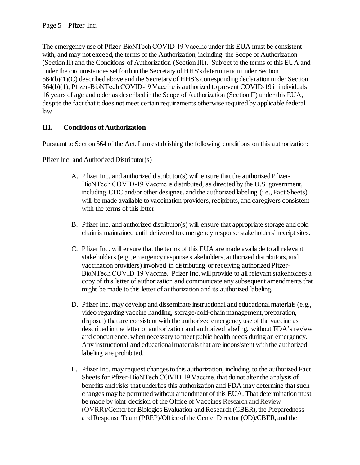(Section II) and the Conditions of Authorization (Section III). Subject to the terms of this EUA and 564(b)(1), Pfizer-BioNTech COVID‑19 Vaccine is authorized to prevent COVID-19 in individuals The emergency use of Pfizer-BioNTech COVID-19 Vaccine under this EUA must be consistent with, and may not exceed, the terms of the Authorization, including the Scope of Authorization under the circumstances set forth in the Secretary of HHS's determination under Section 564(b)(1)(C) described above and the Secretary of HHS's corresponding declaration under Section 16 years of age and older as described in the Scope of Authorization (Section II) under this EUA, despite the fact that it does not meet certain requirements otherwise required by applicable federal law.

# **III. Conditions of Authorization**

Pursuant to Section 564 of the Act, I am establishing the following conditions on this authorization:

Pfizer Inc. and Authorized Distributor(s)

- A. Pfizer Inc. and authorized distributor(s) will ensure that the authorized Pfizer- will be made available to vaccination providers, recipients, and caregivers consistent BioNTech COVID-19 Vaccine is distributed, as directed by the U.S. government, including CDC and/or other designee, and the authorized labeling (i.e., Fact Sheets) with the terms of this letter.
- B. Pfizer Inc. and authorized distributor(s) will ensure that appropriate storage and cold chain is maintained until delivered to emergency response stakeholders' receipt sites.
- C. Pfizer Inc. will ensure that the terms of this EUA are made available to all relevant vaccination providers) involved in distributing or receiving authorized Pfizer- BioNTech COVID‑19 Vaccine. Pfizer Inc. will provide to all relevant stakeholders a copy of this letter of authorization and communicate any subsequent amendments that might be made to this letter of authorization and its authorized labeling. stakeholders (e.g., emergency response stakeholders, authorized distributors, and
- D. Pfizer Inc. may develop and disseminate instructional and educational materials (e.g., described in the letter of authorization and authorized labeling, without FDA's review video regarding vaccine handling, storage/cold-chain management, preparation, disposal) that are consistent with the authorized emergency use of the vaccine as and concurrence, when necessary to meet public health needs during an emergency. Any instructional and educational materials that are inconsistent with the authorized labeling are prohibited.
- E. Pfizer Inc. may request changes to this authorization, including to the authorized Fact Sheets for Pfizer-BioNTech COVID-19 Vaccine, that do not alter the analysis of benefits and risks that underlies this authorization and FDA may determine that such changes may be permitted without amendment of this EUA. That determination must be made by joint decision of the Office of Vaccines Research and Review (OVRR)/Center for Biologics Evaluation and Research (CBER), the Preparedness and Response Team (PREP)/Office of the Center Director (OD)/CBER, and the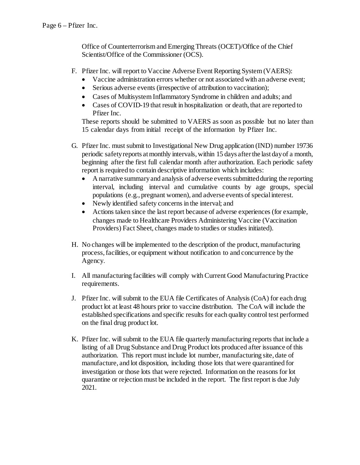Scientist/Office of the Commissioner (OCS). Office of Counterterrorism and Emerging Threats (OCET)/Office of the Chief

- F. Pfizer Inc. will report to Vaccine Adverse Event Reporting System (VAERS):
	- Vaccine administration errors whether or not associated with an adverse event;
	- Serious adverse events (irrespective of attribution to vaccination);
	- Cases of Multisystem Inflammatory Syndrome in children and adults; and
	- Pfizer Inc. • Cases of COVID-19 that result in hospitalization or death, that are reported to

 These reports should be submitted to VAERS as soon as possible but no later than 15 calendar days from initial receipt of the information by Pfizer Inc.

- periodic safety reports at monthly intervals, within 15 days after the last day of a month, beginning after the first full calendar month after authorization. Each periodic safety G. Pfizer Inc. must submit to Investigational New Drug application (IND) number 19736 report is required to contain descriptive information which includes:
	- interval, including interval and cumulative counts by age groups, special • A narrative summary and analysis of adverse events submitted during the reporting populations (e.g., pregnant women), and adverse events of special interest.
	- Newly identified safety concerns in the interval; and
	- Actions taken since the last report because of adverse experiences (for example, changes made to Healthcare Providers Administering Vaccine (Vaccination Providers) Fact Sheet, changes made to studies or studies initiated).
- H. No changes will be implemented to the description of the product, manufacturing process, facilities, or equipment without notification to and concurrence by the Agency.
- I. All manufacturing facilities will comply with Current Good Manufacturing Practice requirements.
- J. Pfizer Inc. will submit to the EUA file Certificates of Analysis (CoA) for each drug product lot at least 48 hours prior to vaccine distribution. The CoA will include the established specifications and specific results for each quality control test performed on the final drug product lot.
- K. Pfizer Inc. will submit to the EUA file quarterly manufacturing reports that include a authorization. This report must include lot number, manufacturing site, date of listing of all Drug Substance and Drug Product lots produced after issuance of this manufacture, and lot disposition, including those lots that were quarantined for investigation or those lots that were rejected. Information on the reasons for lot quarantine or rejection must be included in the report. The first report is due July 2021.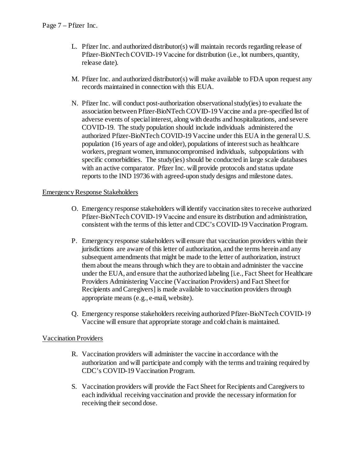- L. Pfizer Inc. and authorized distributor(s) will maintain records regarding release of release date). Pfizer-BioNTech COVID-19 Vaccine for distribution (i.e., lot numbers, quantity,
- M. Pfizer Inc. and authorized distributor(s) will make available to FDA upon request any records maintained in connection with this EUA.
- N. Pfizer Inc. will conduct post-authorization observational study(ies) to evaluate the association between Pfizer-BioNTech COVID-19 Vaccine and a pre-specified list of COVID-19. The study population should include individuals administered the authorized Pfizer-BioNTech COVID-19 Vaccine under this EUA in the general U.S. specific comorbidities. The study(ies) should be conducted in large scale databases with an active comparator. Pfizer Inc. will provide protocols and status update adverse events of special interest, along with deaths and hospitalizations, and severe population (16 years of age and older), populations of interest such as healthcare workers, pregnant women, immunocompromised individuals, subpopulations with reports to the IND 19736 with agreed-upon study designs and milestone dates.

#### Emergency Response Stakeholders

- Pfizer-BioNTech COVID‑19 Vaccine and ensure its distribution and administration, O. Emergency response stakeholders will identify vaccination sites to receive authorized consistent with the terms of this letter and CDC's COVID-19 Vaccination Program.
- P. Emergency response stakeholders will ensure that vaccination providers within their them about the means through which they are to obtain and administer the vaccine Providers Administering Vaccine (Vaccination Providers) and Fact Sheetfor Recipients and Caregivers] is made available to vaccination providers through jurisdictions are aware of this letter of authorization, and the terms herein and any subsequent amendments that might be made to the letter of authorization, instruct under the EUA, and ensure that the authorized labeling [i.e., Fact Sheet for Healthcare appropriate means (e.g., e-mail, website).
- Q. Emergency response stakeholders receiving authorized Pfizer-BioNTech COVID-19 Vaccine will ensure that appropriate storage and cold chain is maintained.

## Vaccination Providers

- authorization and will participate and comply with the terms and training required by R. Vaccination providers will administer the vaccine in accordance with the CDC's COVID-19 Vaccination Program.
- S. Vaccination providers will provide the Fact Sheet for Recipients and Caregivers to each individual receiving vaccination and provide the necessary information for receiving their second dose.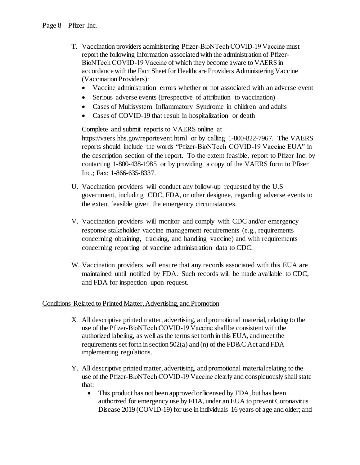- BioNTech COVID‑19 Vaccine of which they become aware to VAERS in T. Vaccination providers administering Pfizer-BioNTech COVID-19 Vaccine must report the following information associated with the administration of Pfizeraccordance with the Fact Sheet for Healthcare Providers Administering Vaccine (Vaccination Providers):
	- Vaccine administration errors whether or not associated with an adverse event
	- Serious adverse events (irrespective of attribution to vaccination)
	- Cases of Multisystem Inflammatory Syndrome in children and adults
	- Cases of COVID-19 that result in hospitalization or death

 Complete and submit reports to VAERS online at reports should include the words "Pfizer-BioNTech COVID‑19 Vaccine EUA" in the description section of the report. To the extent feasible, report to Pfizer Inc. by <https://vaers.hhs.gov/reportevent.html> or by calling 1-800-822-7967. The VAERS contacting 1-800-438-1985 or by providing a copy of the VAERS form to Pfizer Inc.; Fax: 1-866-635-8337.

- government, including CDC, FDA, or other designee, regarding adverse events to U. Vaccination providers will conduct any follow-up requested by the U.S the extent feasible given the emergency circumstances.
- V. Vaccination providers will monitor and comply with CDC and/or emergency concerning reporting of vaccine administration data to CDC. response stakeholder vaccine management requirements (e.g., requirements concerning obtaining, tracking, and handling vaccine) and with requirements
- W. Vaccination providers will ensure that any records associated with this EUA are maintained until notified by FDA. Such records will be made available to CDC, and FDA for inspection upon request.

### Conditions Related to Printed Matter, Advertising, and Promotion

- X. All descriptive printed matter, advertising, and promotional material, relating to the authorized labeling, as well as the terms set forth in this EUA, and meet the use of the Pfizer-BioNTech COVID‑19 Vaccine shall be consistent with the requirements set forth in section 502(a) and (n) of the FD&C Act and FDA implementing regulations.
- use of the Pfizer-BioNTech COVID-19 Vaccine clearly and conspicuously shall state Y. All descriptive printed matter, advertising, and promotional material relating to the that:
	- authorized for emergency use by FDA, under an EUA to prevent Coronavirus • This product has not been approved or licensed by FDA, but has been Disease 2019 (COVID-19) for use in individuals 16 years of age and older; and